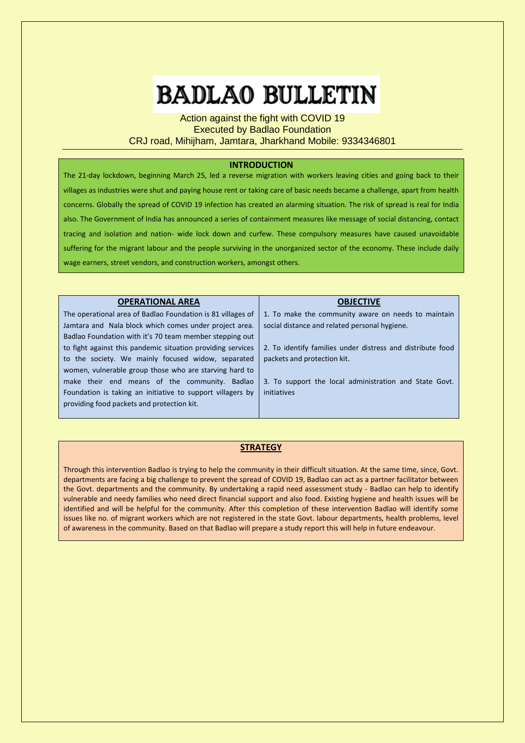# **BADLAO BULLETIN**

Action against the fight with COVID 19 Executed by Badlao Foundation CRJ road, Mihijham, Jamtara, Jharkhand Mobile: 9334346801

# **INTRODUCTION**

The 21-day lockdown, beginning March 25, led a reverse migration with workers leaving cities and going back to their villages as industries were shut and paying house rent or taking care of basic needs became a challenge, apart from health concerns. Globally the spread of COVID 19 infection has created an alarming situation. The risk of spread is real for India also. The Government of India has announced a series of containment measures like message of social distancing, contact tracing and isolation and nation- wide lock down and curfew. These compulsory measures have caused unavoidable suffering for the migrant labour and the people surviving in the unorganized sector of the economy. These include daily wage earners, street vendors, and construction workers, amongst others.

| <b>OPERATIONAL AREA</b>                                     | <b>OBJECTIVE</b>                                           |
|-------------------------------------------------------------|------------------------------------------------------------|
| The operational area of Badlao Foundation is 81 villages of | 1. To make the community aware on needs to maintain        |
| Jamtara and Nala block which comes under project area.      | social distance and related personal hygiene.              |
| Badlao Foundation with it's 70 team member stepping out     |                                                            |
| to fight against this pandemic situation providing services | 2. To identify families under distress and distribute food |
| to the society. We mainly focused widow, separated          | packets and protection kit.                                |
| women, vulnerable group those who are starving hard to      |                                                            |
| make their end means of the community. Badlao               | 3. To support the local administration and State Govt.     |
| Foundation is taking an initiative to support villagers by  | initiatives                                                |
| providing food packets and protection kit.                  |                                                            |
|                                                             |                                                            |

## **STRATEGY**

Through this intervention Badlao is trying to help the community in their difficult situation. At the same time, since, Govt. departments are facing a big challenge to prevent the spread of COVID 19, Badlao can act as a partner facilitator between the Govt. departments and the community. By undertaking a rapid need assessment study - Badlao can help to identify vulnerable and needy families who need direct financial support and also food. Existing hygiene and health issues will be identified and will be helpful for the community. After this completion of these intervention Badlao will identify some issues like no. of migrant workers which are not registered in the state Govt. labour departments, health problems, level of awareness in the community. Based on that Badlao will prepare a study report this will help in future endeavour.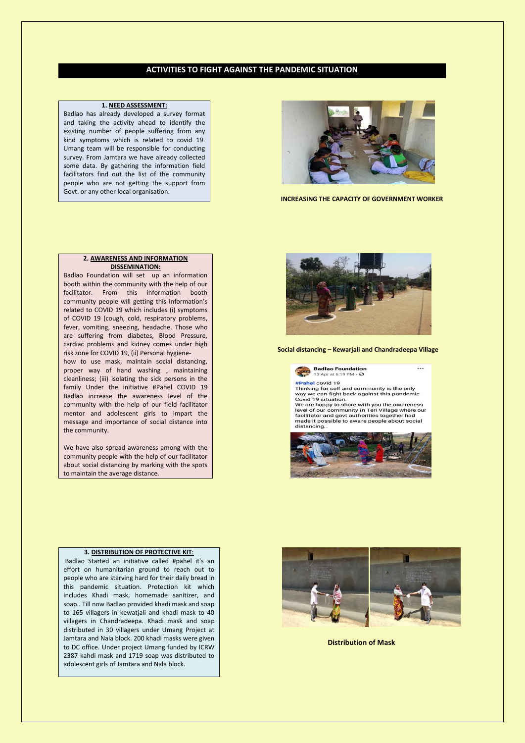## **ACTIVITIES TO FIGHT AGAINST THE PANDEMIC SITUATION**

#### **1. NEED ASSESSMENT:**

Badlao has already developed a survey format and taking the activity ahead to identify the existing number of people suffering from any kind symptoms which is related to covid 19. Umang team will be responsible for conducting survey. From Jamtara we have already collected some data. By gathering the information field facilitators find out the list of the community people who are not getting the support from Govt. or any other local organisation.



 **INCREASING THE CAPACITY OF GOVERNMENT WORKER**

#### **2. AWARENESS AND INFORMATION DISSEMINATION:**

Badlao Foundation will set up an information booth within the community with the help of our facilitator. From this information booth community people will getting this information's related to COVID 19 which includes (i) symptoms of COVID 19 (cough, cold, respiratory problems, fever, vomiting, sneezing, headache. Those who are suffering from diabetes, Blood Pressure, cardiac problems and kidney comes under high risk zone for COVID 19, (ii) Personal hygiene-

how to use mask, maintain social distancing, proper way of hand washing , maintaining cleanliness; (iii) isolating the sick persons in the family Under the initiative #Pahel COVID 19 Badlao increase the awareness level of the community with the help of our field facilitator mentor and adolescent girls to impart the message and importance of social distance into the community.

We have also spread awareness among with the community people with the help of our facilitator about social distancing by marking with the spots to maintain the average distance.



 **Social distancing – Kewarjali and Chandradeepa Village**

 $\ddotsc$ 



Thinking for self and community is the only<br>way we can fight back against this pandemic<br>Covid 19 situation.

we are happy to share with you the awareness we are inappy to some will you the awareness<br>level of our community in Teri Village where our<br>facilitator and govt authorities together had<br>made it possible to aware people about social distancing.



#### **3. DISTRIBUTION OF PROTECTIVE KIT**:

Badlao Started an initiative called #pahel it's an effort on humanitarian ground to reach out to people who are starving hard for their daily bread in this pandemic situation. Protection kit which includes Khadi mask, homemade sanitizer, and soap.. Till now Badlao provided khadi mask and soap to 165 villagers in kewatjali and khadi mask to 40 villagers in Chandradeepa. Khadi mask and soap distributed in 30 villagers under Umang Project at Jamtara and Nala block. 200 khadi masks were given to DC office. Under project Umang funded by ICRW 2387 kahdi mask and 1719 soap was distributed to adolescent girls of Jamtara and Nala block.



 **Distribution of Mask**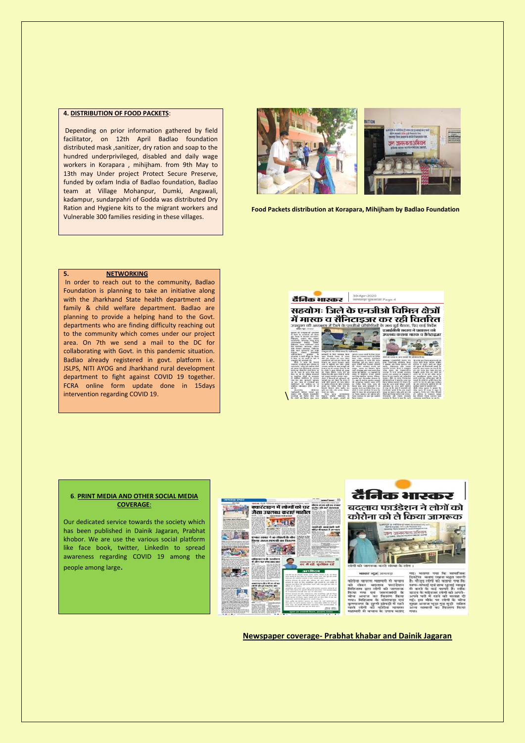## **4. DISTRIBUTION OF FOOD PACKETS**:

Depending on prior information gathered by field facilitator, on 12th April Badlao foundation distributed mask ,sanitizer, dry ration and soap to the hundred underprivileged, disabled and daily wage workers in Korapara , mihijham. from 9th May to 13th may Under project Protect Secure Preserve, funded by oxfam India of Badlao foundation, Badlao team at Village Mohanpur, Dumki, Angawali, kadampur, sundarpahri of Godda was distributed Dry Ration and Hygiene kits to the migrant workers and Vulnerable 300 families residing in these villages.



 **Food Packets distribution at Korapara, Mihijham by Badlao Foundation**

#### **5.** NETWORKING

In order to reach out to the community, Badlao Foundation is planning to take an initiative along with the Jharkhand State health department and family & child welfare department. Badlao are planning to provide a helping hand to the Govt. departments who are finding difficulty reaching out to the community which comes under our project area. On 7th we send a mail to the DC for collaborating with Govt. in this pandemic situation. Badlao already registered in govt. platform i.e. JSLPS, NITI AYOG and Jharkhand rural development department to fight against COVID 19 together. FCRA online form update done in 15days intervention regarding COVID 19.



#### **6**. **PRINT MEDIA AND OTHER SOCIAL MEDIA COVERAGE**:

Our dedicated service towards the society which has been published in Dainik Jagaran, Prabhat khobor. We are use the various social platform like face book, twitter, LinkedIn to spread awareness regarding COVID 19 among the people among large.





**Newspaper coverage- Prabhat khabar and Dainik Jagaran**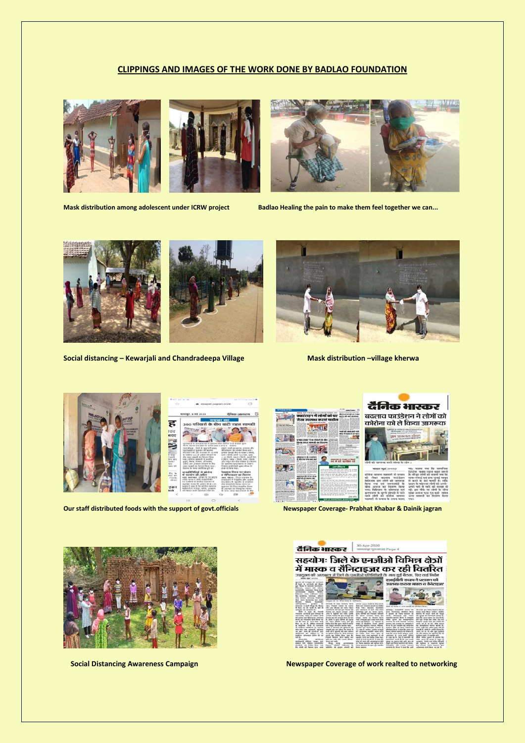## **CLIPPINGS AND IMAGES OF THE WORK DONE BY BADLAO FOUNDATION**







**Mask distribution among adolescent under ICRW project Badlao Healing the pain to make them feel together we can...**





**Social distancing – Kewarjali and Chandradeepa Village Mask distribution –village kherwa** 







**Our staff distributed foods with the support of govt.officials Newspaper Coverage- Prabhat Khabar & Dainik jagran <br>** 





दैनिक भास्कर





**Social Distancing Awareness Campaign Newspaper Coverage of work realted to networking**